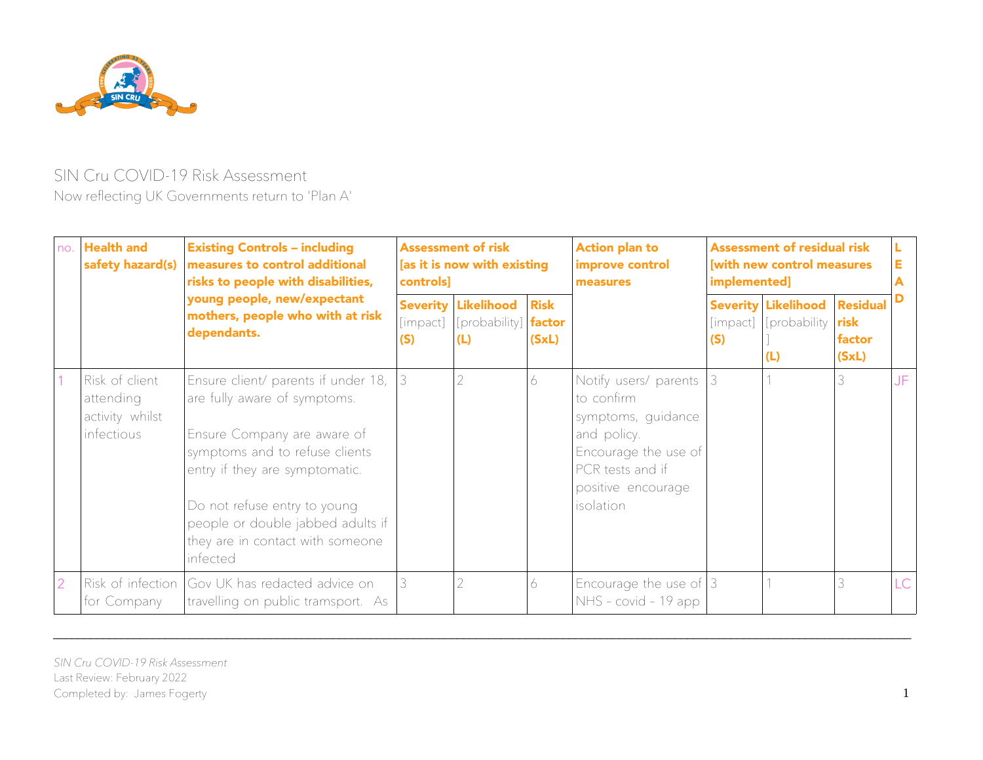

## SIN Cru COVID-19 Risk Assessment Now refecting UK Governments return to 'Plan A'

| no. | <b>Health and</b><br>safety hazard(s)                               | <b>Existing Controls - including</b><br>measures to control additional<br>risks to people with disabilities,<br>young people, new/expectant<br>mothers, people who with at risk<br>dependants.                                                                                              | <b>Assessment of risk</b><br>[as it is now with existing<br>controls] |                                                    |                      | <b>Action plan to</b><br>improve control<br>measures                                                                                                    | <b>Assessment of residual risk</b><br>[with new control measures<br>implemented] |                                                    |                                            | Е   |
|-----|---------------------------------------------------------------------|---------------------------------------------------------------------------------------------------------------------------------------------------------------------------------------------------------------------------------------------------------------------------------------------|-----------------------------------------------------------------------|----------------------------------------------------|----------------------|---------------------------------------------------------------------------------------------------------------------------------------------------------|----------------------------------------------------------------------------------|----------------------------------------------------|--------------------------------------------|-----|
|     |                                                                     |                                                                                                                                                                                                                                                                                             | <b>Severity</b><br>[impact]<br>(S)                                    | Likelihood<br>$[probability]$ <b>factor</b><br>(L) | <b>Risk</b><br>(SxL) |                                                                                                                                                         | [impact]<br>(S)                                                                  | <b>Severity Likelihood</b><br>[probability]<br>(L) | <b>Residual</b><br>risk<br>factor<br>(SxL) |     |
|     | Risk of client<br>attending<br>activity whilst<br><i>infectious</i> | Ensure client/ parents if under 18,<br>are fully aware of symptoms.<br>Ensure Company are aware of<br>symptoms and to refuse clients<br>entry if they are symptomatic.<br>Do not refuse entry to young<br>people or double jabbed adults if<br>they are in contact with someone<br>infected |                                                                       |                                                    | 6                    | Notify users/ parents<br>to confirm<br>symptoms, quidance<br>and policy.<br>Encourage the use of<br>PCR tests and if<br>positive encourage<br>isolation |                                                                                  |                                                    | 3                                          | JF. |
|     | for Company                                                         | Risk of infection Gov UK has redacted advice on<br>travelling on public tramsport. As                                                                                                                                                                                                       |                                                                       | 2                                                  | 6                    | Encourage the use of $ 3 $<br>NHS - covid - 19 app                                                                                                      |                                                                                  |                                                    | 3                                          | LC  |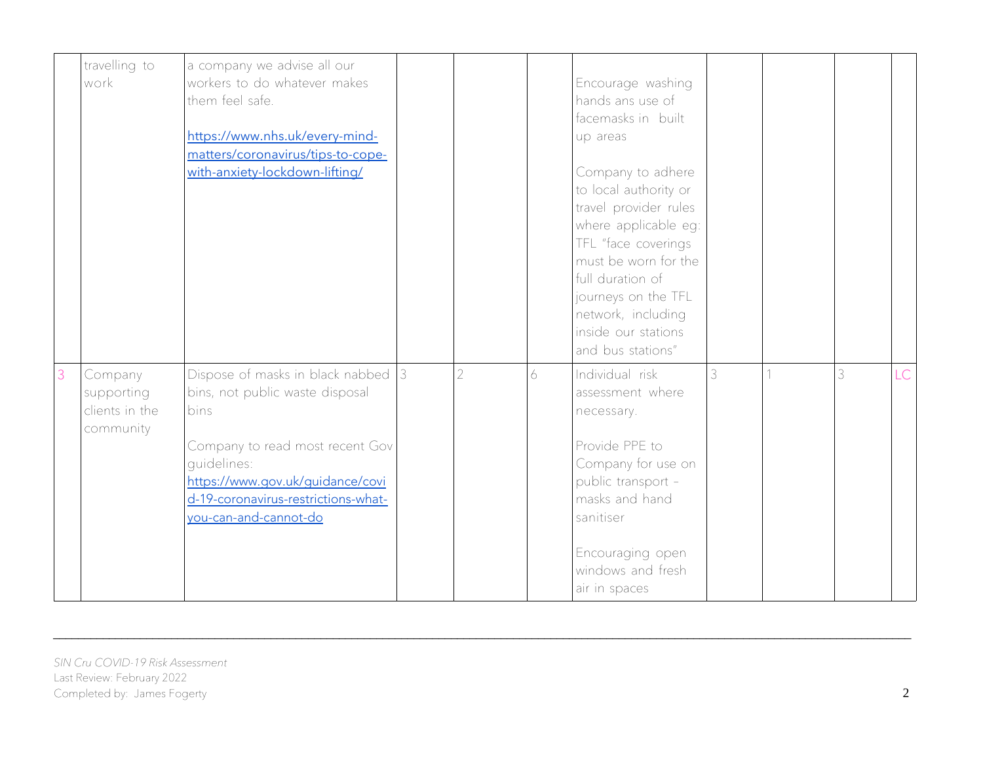| travelling to<br>work                                | a company we advise all our<br>workers to do whatever makes<br>them feel safe.<br>https://www.nhs.uk/every-mind-<br>matters/coronavirus/tips-to-cope-<br>with-anxiety-lockdown-lifting/                                                 |                |   | Encourage washing<br>hands ans use of<br>facemasks in built<br>up areas<br>Company to adhere<br>to local authority or<br>travel provider rules<br>where applicable eg:<br>TFL "face coverings<br>must be worn for the<br>full duration of<br>journeys on the TFL<br>network, including<br>inside our stations<br>and bus stations" |   |   |     |
|------------------------------------------------------|-----------------------------------------------------------------------------------------------------------------------------------------------------------------------------------------------------------------------------------------|----------------|---|------------------------------------------------------------------------------------------------------------------------------------------------------------------------------------------------------------------------------------------------------------------------------------------------------------------------------------|---|---|-----|
| Company<br>supporting<br>clients in the<br>community | Dispose of masks in black nabbed $ 3 $<br>bins, not public waste disposal<br>bins<br>Company to read most recent Gov<br>quidelines:<br>https://www.gov.uk/guidance/covi<br>d-19-coronavirus-restrictions-what-<br>you-can-and-cannot-do | $\overline{2}$ | 6 | Individual risk<br>assessment where<br>necessary.<br>Provide PPE to<br>Company for use on<br>public transport -<br>masks and hand<br>sanitiser<br>Encouraging open<br>windows and fresh<br>air in spaces                                                                                                                           | 3 | 3 | LC. |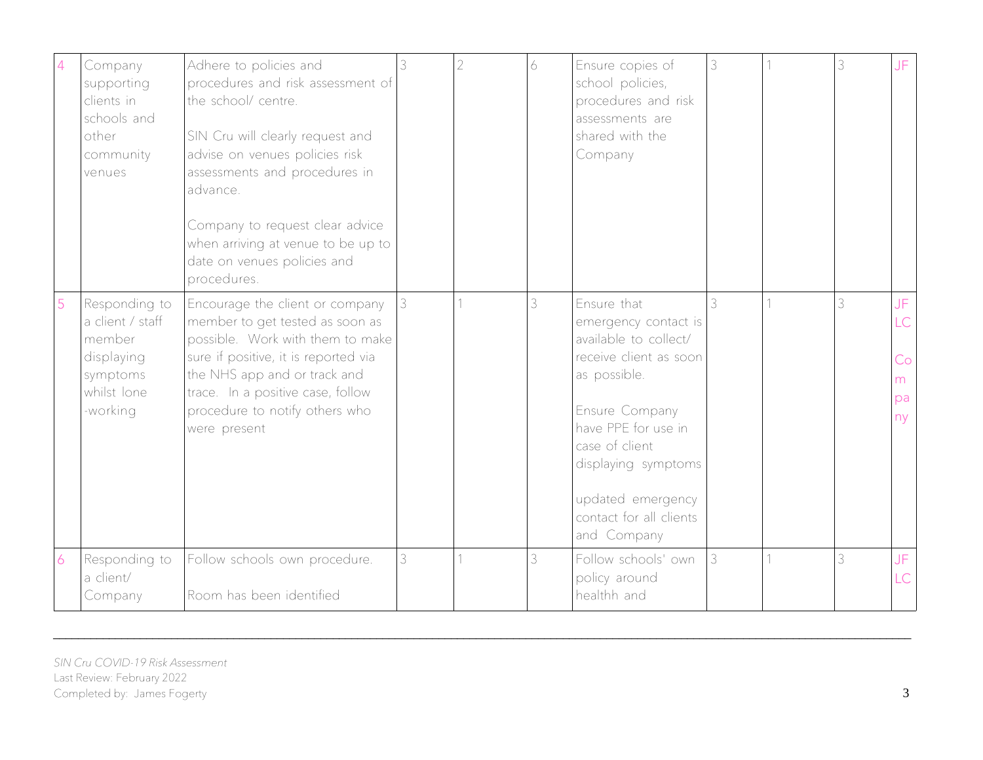| 4 | Company<br>supporting<br>clients in<br>schools and<br>other<br>community<br>venues               | Adhere to policies and<br>procedures and risk assessment of<br>the school/ centre.<br>SIN Cru will clearly request and<br>advise on venues policies risk<br>assessments and procedures in<br>advance.<br>Company to request clear advice<br>when arriving at venue to be up to<br>date on venues policies and<br>procedures. |   | 2 | 6. | Ensure copies of<br>school policies,<br>procedures and risk<br>assessments are<br>shared with the<br>Company                                                                                                                                            | 3 | 3 | JF.                               |
|---|--------------------------------------------------------------------------------------------------|------------------------------------------------------------------------------------------------------------------------------------------------------------------------------------------------------------------------------------------------------------------------------------------------------------------------------|---|---|----|---------------------------------------------------------------------------------------------------------------------------------------------------------------------------------------------------------------------------------------------------------|---|---|-----------------------------------|
| 5 | Responding to<br>a client / staff<br>member<br>displaying<br>symptoms<br>whilst lone<br>-working | Encourage the client or company<br>member to get tested as soon as<br>possible. Work with them to make<br>sure if positive, it is reported via<br>the NHS app and or track and<br>trace. In a positive case, follow<br>procedure to notify others who<br>were present                                                        |   |   | 3  | Ensure that<br>emergency contact is<br>available to collect/<br>receive client as soon<br>as possible.<br>Ensure Company<br>have PPE for use in<br>case of client<br>displaying symptoms<br>updated emergency<br>contact for all clients<br>and Company |   | 3 | JF.<br>LC<br>Co<br>m.<br>pa<br>ny |
| 6 | Responding to<br>a client/<br>Company                                                            | Follow schools own procedure.<br>Room has been identified                                                                                                                                                                                                                                                                    | 3 |   | 3  | Follow schools' own<br>policy around<br>healthh and                                                                                                                                                                                                     | 3 | 3 | JF.<br>LC                         |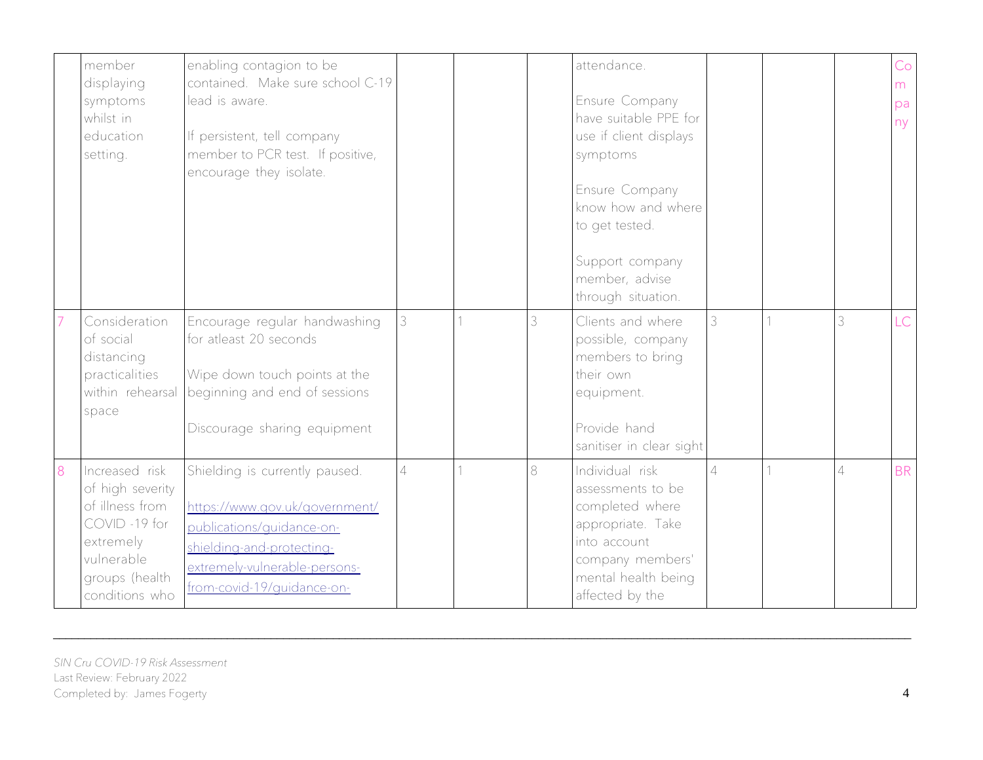|   | member<br>displaying<br>symptoms<br>whilst in<br>education<br>setting.                                                               | enabling contagion to be<br>contained. Make sure school C-19<br>lead is aware.<br>If persistent, tell company<br>member to PCR test. If positive,<br>encourage they isolate.              |                |   | attendance.<br>Ensure Company<br>have suitable PPE for<br>use if client displays<br>symptoms<br>Ensure Company<br>know how and where<br>to get tested.<br>Support company<br>member, advise<br>through situation. |          |                | Co<br>m<br>pa<br>ny |
|---|--------------------------------------------------------------------------------------------------------------------------------------|-------------------------------------------------------------------------------------------------------------------------------------------------------------------------------------------|----------------|---|-------------------------------------------------------------------------------------------------------------------------------------------------------------------------------------------------------------------|----------|----------------|---------------------|
|   | Consideration<br>of social<br>distancing<br>practicalities<br>within rehearsal<br>space                                              | Encourage regular handwashing<br>for atleast 20 seconds<br>Wipe down touch points at the<br>beginning and end of sessions<br>Discourage sharing equipment                                 |                | 3 | Clients and where<br>possible, company<br>members to bring<br>their own<br>equipment.<br>Provide hand<br>sanitiser in clear sight                                                                                 | 3        | 3              | LC                  |
| 8 | Increased risk<br>of high severity<br>of illness from<br>COVID-19 for<br>extremely<br>vulnerable<br>groups (health<br>conditions who | Shielding is currently paused.<br>https://www.gov.uk/government/<br>publications/guidance-on-<br>shielding-and-protecting-<br>extremely-vulnerable-persons-<br>from-covid-19/quidance-on- | $\overline{4}$ | 8 | Individual risk<br>assessments to be<br>completed where<br>appropriate. Take<br>into account<br>company members'<br>mental health being<br>affected by the                                                        | $\Delta$ | $\overline{4}$ | <b>BR</b>           |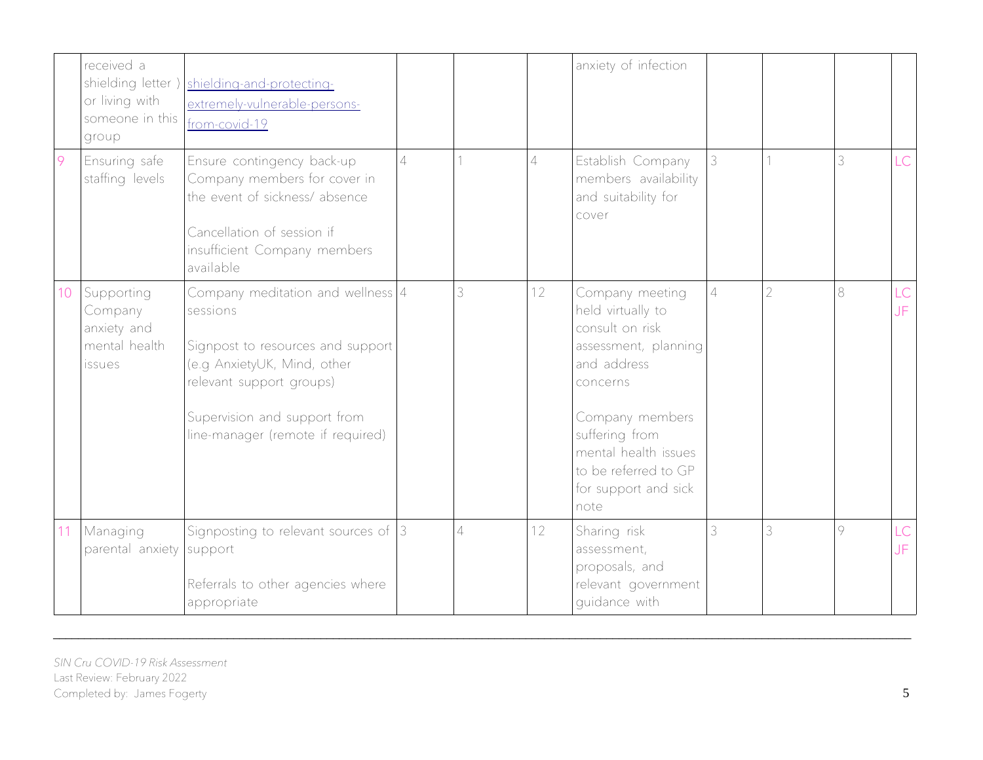|    | received a<br>or living with<br>someone in this<br>group               | shielding letter)   shielding-and-protecting-<br>extremely-vulnerable-persons-<br>from-covid-19                                                                                                                      |                          |   |                 | anxiety of infection                                                                                                                                                                                                            |                |                |   |           |
|----|------------------------------------------------------------------------|----------------------------------------------------------------------------------------------------------------------------------------------------------------------------------------------------------------------|--------------------------|---|-----------------|---------------------------------------------------------------------------------------------------------------------------------------------------------------------------------------------------------------------------------|----------------|----------------|---|-----------|
| 9  | Ensuring safe<br>staffing levels                                       | Ensure contingency back-up<br>Company members for cover in<br>the event of sickness/absence<br>Cancellation of session if<br>insufficient Company members<br>available                                               | $\overline{\mathcal{A}}$ |   | 4               | Establish Company<br>members availability<br>and suitability for<br>cover                                                                                                                                                       | 3              |                | 3 | <b>LC</b> |
| 10 | Supporting<br>Company<br>anxiety and<br>mental health<br><i>issues</i> | Company meditation and wellness $4$<br>sessions<br>Signpost to resources and support<br>(e.g AnxietyUK, Mind, other<br>relevant support groups)<br>Supervision and support from<br>line-manager (remote if required) |                          | 3 | 12 <sup>°</sup> | Company meeting<br>held virtually to<br>consult on risk<br>assessment, planning<br>and address<br>concerns<br>Company members<br>suffering from<br>mental health issues<br>to be referred to GP<br>for support and sick<br>note | $\overline{4}$ | $\overline{2}$ | 8 | LC<br>JF  |
| 11 | Managing<br>parental anxiety support                                   | Signposting to relevant sources of $ 3 $<br>Referrals to other agencies where<br>appropriate                                                                                                                         |                          | 4 | 12              | Sharing risk<br>assessment,<br>proposals, and<br>relevant government<br>quidance with                                                                                                                                           | 3              | 3              | 9 | LC<br>JF  |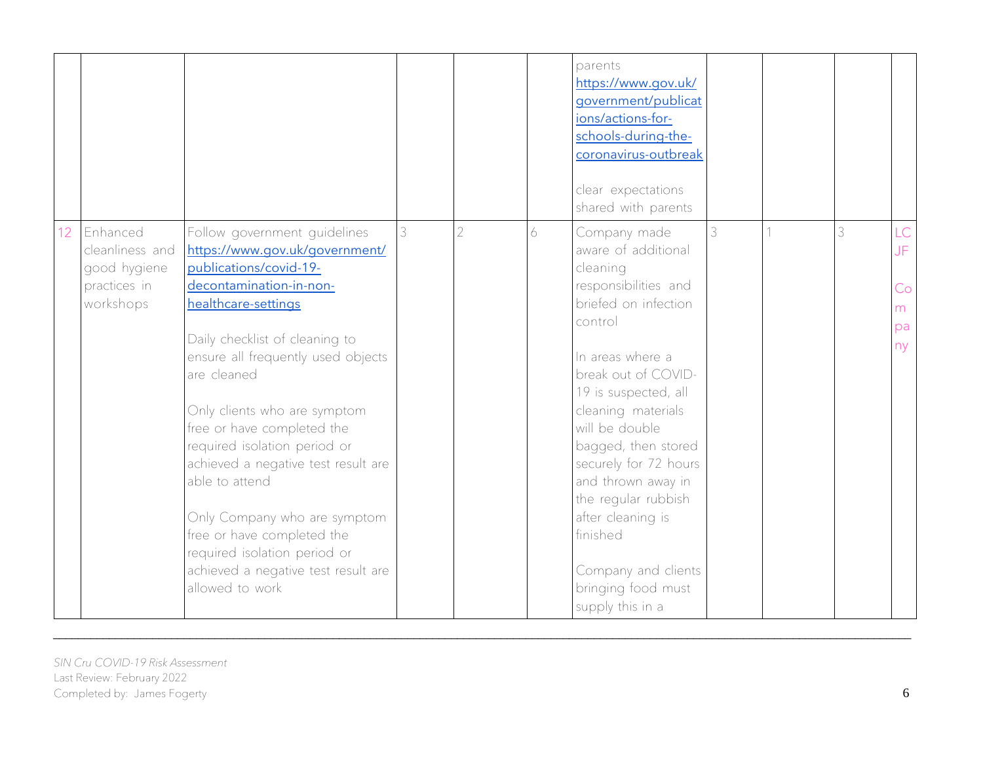|                 |                                                                          |                                                                                                                                                                                                                                                                                                                                                                                                                                                                                                                                                  |   |                |   | parents<br>https://www.gov.uk/<br>government/publicat<br>ions/actions-for-<br>schools-during-the-<br>coronavirus-outbreak<br>clear expectations<br>shared with parents                                                                                                                                                                                                                                               |   |   |                                  |
|-----------------|--------------------------------------------------------------------------|--------------------------------------------------------------------------------------------------------------------------------------------------------------------------------------------------------------------------------------------------------------------------------------------------------------------------------------------------------------------------------------------------------------------------------------------------------------------------------------------------------------------------------------------------|---|----------------|---|----------------------------------------------------------------------------------------------------------------------------------------------------------------------------------------------------------------------------------------------------------------------------------------------------------------------------------------------------------------------------------------------------------------------|---|---|----------------------------------|
| 12 <sup>°</sup> | Enhanced<br>cleanliness and<br>good hygiene<br>practices in<br>workshops | Follow government guidelines<br>https://www.gov.uk/government/<br>publications/covid-19-<br>decontamination-in-non-<br>healthcare-settings<br>Daily checklist of cleaning to<br>ensure all frequently used objects<br>are cleaned<br>Only clients who are symptom<br>free or have completed the<br>required isolation period or<br>achieved a negative test result are<br>able to attend<br>Only Company who are symptom<br>free or have completed the<br>required isolation period or<br>achieved a negative test result are<br>allowed to work | 3 | $\overline{2}$ | 6 | Company made<br>aware of additional<br>cleaning<br>responsibilities and<br>briefed on infection<br>control<br>In areas where a<br>break out of COVID-<br>19 is suspected, all<br>cleaning materials<br>will be double<br>bagged, then stored<br>securely for 72 hours<br>and thrown away in<br>the regular rubbish<br>after cleaning is<br>finished<br>Company and clients<br>bringing food must<br>supply this in a | 3 | 3 | LC<br>JF.<br>Co<br>m<br>pa<br>ny |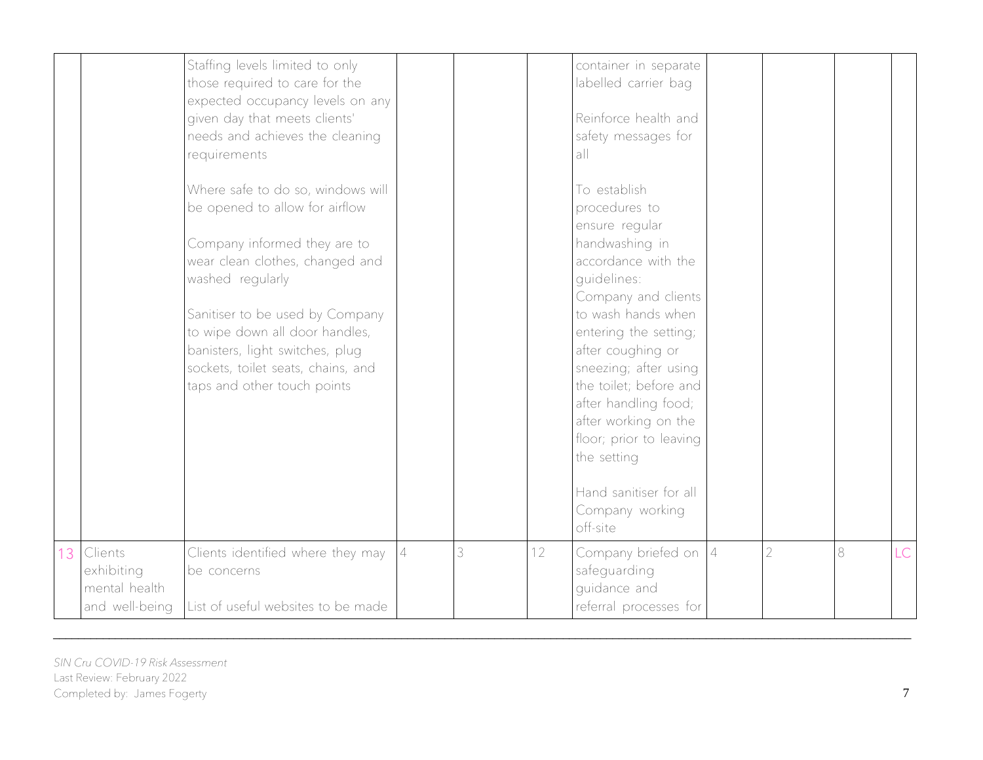|                                                             | Staffing levels limited to only<br>those required to care for the<br>expected occupancy levels on any<br>given day that meets clients'<br>needs and achieves the cleaning<br>requirements                                                                                                                                               |   |   |                 | container in separate<br>labelled carrier bag<br>Reinforce health and<br>safety messages for<br>all                                                                                                                                                                                                                                                                                                      |                |         |     |
|-------------------------------------------------------------|-----------------------------------------------------------------------------------------------------------------------------------------------------------------------------------------------------------------------------------------------------------------------------------------------------------------------------------------|---|---|-----------------|----------------------------------------------------------------------------------------------------------------------------------------------------------------------------------------------------------------------------------------------------------------------------------------------------------------------------------------------------------------------------------------------------------|----------------|---------|-----|
|                                                             | Where safe to do so, windows will<br>be opened to allow for airflow<br>Company informed they are to<br>wear clean clothes, changed and<br>washed regularly<br>Sanitiser to be used by Company<br>to wipe down all door handles,<br>banisters, light switches, plug<br>sockets, toilet seats, chains, and<br>taps and other touch points |   |   |                 | To establish<br>procedures to<br>ensure regular<br>handwashing in<br>accordance with the<br>quidelines:<br>Company and clients<br>to wash hands when<br>entering the setting;<br>after coughing or<br>sneezing; after using<br>the toilet; before and<br>after handling food;<br>after working on the<br>floor; prior to leaving<br>the setting<br>Hand sanitiser for all<br>Company working<br>off-site |                |         |     |
| 13 Clients<br>exhibiting<br>mental health<br>and well-being | Clients identified where they may<br>be concerns<br>List of useful websites to be made                                                                                                                                                                                                                                                  | 4 | 3 | 12 <sup>°</sup> | Company briefed on $ 4 $<br>safeguarding<br>quidance and<br>referral processes for                                                                                                                                                                                                                                                                                                                       | $\overline{2}$ | $\,8\,$ | LC. |